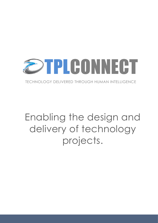

TECHNOLOGY DELIVERED THROUGH HUMAN INTELLIGENCE

# Enabling the design and delivery of technology projects.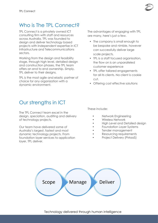

#### Who is The TPL Connect?

TPL Connect is a privately owned ICT consulting firm with staff and resources across Australia. TPL was founded to design and deliver technology based projects with independent expertise in ICT Infrastructure and Telecommunications sectors.

Working from the design and feasibility stage, through high level, detailed design and construction phases, the TPL team offers an end to end ownership. Simply, TPL deliver to their designs.

TPL is the most agile and elastic partner of choice for any organization with a dynamic environment.

Our strengths in ICT

The TPL Connect team excel in the design, speciation, auditing and delivery of technology projects.

Our team have delivered some of Australia's largest, fastest and most dynamic technology projects. From foundation layer services to application layer, TPL deliver.

The advantages of engaging with TPL are many, here's just a few.

- The company is small enough to be bespoke and nimble, however can successfully deliver large scale projects.
- TPL is a staff focused organisation, the flow on is an unparalleled customer experience
- TPL offer tailored engagements for all its clients. No client is cookie cut.
- Offering cost effective solutions

These include:

- Network Engineering
- Wireless Network
- High Level and Detailed design
- Foundation Layer Systems
- Tender management
- Resourcing requirements
- Project Delivery (PMaaS)

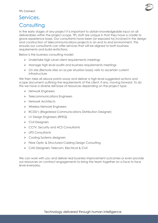# Services.

## **Consulting**

In the early stages of any project it is important to obtain knowledgeable input on all deliverables within the project scope. TPL staff are unique in that they have a cradle to grave experience base. Our consultants have been (or exposed to) involved in the design and construction of telecommunications projects in an end to end environment. This ensures our consultants can offer services that will be aligned to both business requirements and build restrictions.

Below is the business consulting model:

- ➢ Undertake high Level client requirements meetings
- ➢ Manage high level audits and business requirements meetings
- ➢ On site (Remote sites on as per situation basis) visits to ascertain current infrastructure

We then take all above points away and deliver a high level suggested actions and scope document outlining the requirements of the client, if any, moving forward. To do this we have a diverse skill base of resources depending on the project type:

- ➢ Network Engineers
- ➢ Telecommunications Engineers
- ➢ Network Architects
- ➢ Wireless Network Engineers
- ➢ RCDD's (Registered Communications Distribution Designer)
- ➢ LV Design Engineers (RPEQ)
- ➢ Civil Designers
- ➢ CCTV, Security and ACS Consultants
- ➢ UPS Consultants
- ➢ Cooling Systems designers
- ➢ Fibre Optic & Structured Cabling Design Consulting
- ➢ CAD Designers: Telecom, Electrical & Civil

We can work with you and deliver real business improvement outcomes or even provide our resources on contract engagements to bring the team together on a face to face level everyday.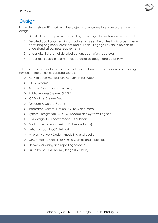

#### **Design**

In the design stage TPL work with the project stakeholders to ensure a client centric desian:

- 1. Detailed client requirements meetings, ensuring all stakeholders are present
- 2. Detailed audit of current infrastructure (In green Field sites this is to be done with consulting engineers, architect and builders). Engage key stake holders to understand all business requirements
- 3. Undertake first draft of detailed design. Upon client approval
- 4. Undertake scope of works, finalised detailed design and build BOM.

TPL's diverse infrastructure experience allows the business to confidently offer design services in the below specialised sectors.

- ➢ ICT / Telecommunications network infrastructure
- ➢ CCTV systems
- ➢ Access Control and monitoring
- ➢ Public Address Systems (PAGA)
- ➢ ICT Earthing System Design
- ➢ Telecom & Control Rooms
- ➢ Integrated Systems Design: AV, BMS and more
- ➢ Systems Integration (CISCO, Brocade and Systems Engineers)
- ➢ Civil design: U/G or overhead reticulation
- ➢ Back bone network design (Full redundancy)
- ➢ LAN, campus & OSP Networks
- ➢ Wireless Network Design, modelling and audits
- ➢ GPON Passive Optics for Mining Camps and Triple Play
- ➢ Network Auditing and reporting services
- ➢ Full in-house CAD Team (Design & As-built)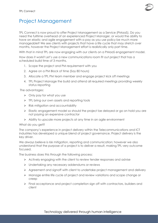

### Project Management

TPL Connect is now proud to offer Project Management as a Service (PMaaS). Do you need the fulltime overhead of an experienced Project Manager, or would the ability to have an elastic and agile engagement with a pay as you use policy be much more manageable? We see clients with projects that have a life cycle that may stretch over months, however the Project Management effort is realistically only part time.

With that in mind TPL are now engaging with our clients on a PMaaS engagement model.

How does it work? Let's use a new communications room fit out project that has a scheduled build time of 3 months.

- 1. Scope the project and PM requirement with you
- 2. Agree on a PM Block of time (Say 80 hours)
- 3. Allocate a TPL PM team member and engage project kick off meetings
- 4. TPL Project Manage the build and attend all required meetings providing weekly status reporting

The advantages:

- ➢ Only pay for what you use
- ➢ TPL bring our own assets and reporting tools
- ➢ Risk mitigation and accountability
- ➢ Elastic engagement model so should the project be delayed or go on hold you are not paying an expensive contractor
- $\triangleright$  Ability to upscale more projects at any time in an agile environment

#### What do you get?

The company's experience in project delivery within the Telecommunications and ICT industries has developed a unique blend of project governance. Project delivery is the key driver.

We always believe is risk mitigation, reporting and communication; however we also understand that the purpose of a project is to deliver a result, making TPL very outcome focused.

The business does this through the following process:

- $\triangleright$  Actively engaging with the client to review tender responses and advise
- ➢ Undertaking any necessary addendums or reviews
- ➢ Agreement and signoff with client to undertake project management and delivery
- ➢ Manage entire life cycle of project and review variations and scope change or creep
- ➢ Final acceptance and project completion sign off with contractors, builders and client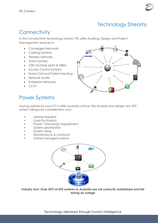

#### Technology Streams

#### **Connectivity**

In the Connectivity technology stream, TPL offer Auditing, Design and Project Management services in:

- Converged Networks
- Cabling Systems
- Wireless networks
- Data Centres
- OSP (Outside plant & NBN)
- Access Control Systems
- Nurse Call and Patient tracking
- Network Audits
- Enterprise Networks
- CCTV



#### Power Systems

nsuring uptime for your ICT is often business critical. We analyze and design any UPS system taking into consideration your:

- Uptime required
- Load fluctuation
- Power "Cleansing" requriement
- System prioritisation
- System sizing
- Maintenance & contracts
- Online managed systems



*Industry fact: Over 50% of UPS systems in Australia are not correctly maintained and fail during an outage*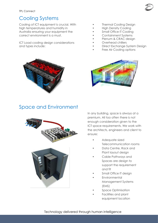

#### Cooling Systems

Cooling of ICT equipment is crucial. With high temperatures and humidity in Australia ensuring your equipment the correct environment is a must.

ICT Load cooling design considerations and types include:

- **Thermal Cooling Design**
- High Density Cooling
- Small Office IT Cooling
- Containment Systems
- Plenum & CRAC design
- Overhead chillers
- Direct Exchange System Design
- Free Air Cooling options





#### Space and Environment



In any building, space is always at a premium. All too often there is not enough consideration given to the ICT space requirements. We work with the architects, engineers and client to ensure:

- Adequate sized Telecommunication rooms
- Data Centre, Rack and Plant layout design
- Cable Pathways and Spaces are design to support the requirement and fit
- Small Office IT design
- **Environmental** Management Systems (EMS)
- Space Optimisation
- Facilities and plant equipment location